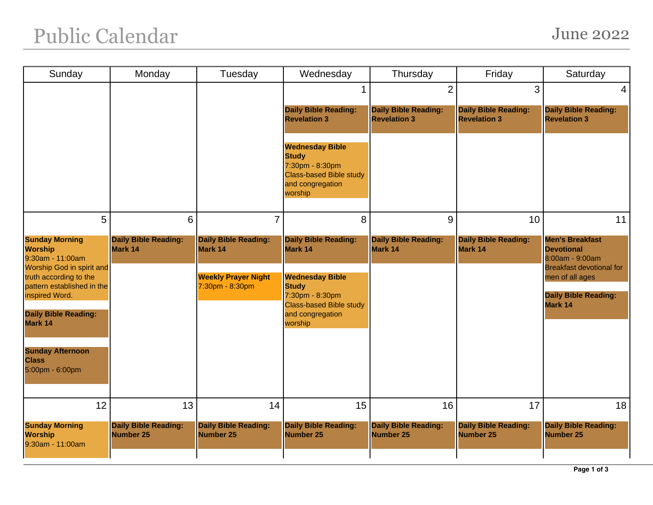## Public Calendar June 2022

| Sunday                                                                                                                                                                                                                                                                     | Monday                                          | Tuesday                                                                                 | Wednesday                                                                                                                                                            | Thursday                                           | Friday                                             | Saturday                                                                                                                                                       |
|----------------------------------------------------------------------------------------------------------------------------------------------------------------------------------------------------------------------------------------------------------------------------|-------------------------------------------------|-----------------------------------------------------------------------------------------|----------------------------------------------------------------------------------------------------------------------------------------------------------------------|----------------------------------------------------|----------------------------------------------------|----------------------------------------------------------------------------------------------------------------------------------------------------------------|
|                                                                                                                                                                                                                                                                            |                                                 |                                                                                         |                                                                                                                                                                      | $\overline{2}$                                     | 3                                                  | $\overline{4}$                                                                                                                                                 |
|                                                                                                                                                                                                                                                                            |                                                 |                                                                                         | <b>Daily Bible Reading:</b><br><b>Revelation 3</b>                                                                                                                   | <b>Daily Bible Reading:</b><br><b>Revelation 3</b> | <b>Daily Bible Reading:</b><br><b>Revelation 3</b> | <b>Daily Bible Reading:</b><br><b>Revelation 3</b>                                                                                                             |
|                                                                                                                                                                                                                                                                            |                                                 |                                                                                         | <b>Wednesday Bible</b><br><b>Study</b><br>7:30pm - 8:30pm<br><b>Class-based Bible study</b><br>and congregation<br>worship                                           |                                                    |                                                    |                                                                                                                                                                |
| 5                                                                                                                                                                                                                                                                          | 6                                               | $\overline{7}$                                                                          | 8                                                                                                                                                                    | 9                                                  | 10                                                 | 11                                                                                                                                                             |
| <b>Sunday Morning</b><br><b>Worship</b><br>9:30am - 11:00am<br>Worship God in spirit and<br>truth according to the<br>pattern established in the<br>inspired Word.<br><b>Daily Bible Reading:</b><br>Mark 14<br><b>Sunday Afternoon</b><br><b>Class</b><br>5:00pm - 6:00pm | <b>Daily Bible Reading:</b><br>Mark 14          | <b>Daily Bible Reading:</b><br>Mark 14<br><b>Weekly Prayer Night</b><br>7:30pm - 8:30pm | <b>Daily Bible Reading:</b><br>Mark 14<br><b>Wednesday Bible</b><br><b>Study</b><br>7:30pm - 8:30pm<br><b>Class-based Bible study</b><br>and congregation<br>worship | <b>Daily Bible Reading:</b><br>Mark 14             | <b>Daily Bible Reading:</b><br>Mark 14             | <b>Men's Breakfast</b><br><b>Devotional</b><br>8:00am - 9:00am<br><b>Breakfast devotional for</b><br>men of all ages<br><b>Daily Bible Reading:</b><br>Mark 14 |
| 12                                                                                                                                                                                                                                                                         | 13                                              | 14                                                                                      | 15                                                                                                                                                                   | 16                                                 | 17                                                 | 18                                                                                                                                                             |
| <b>Sunday Morning</b><br><b>Worship</b><br>9:30am - 11:00am                                                                                                                                                                                                                | <b>Daily Bible Reading:</b><br><b>Number 25</b> | <b>Daily Bible Reading:</b><br><b>Number 25</b>                                         | <b>Daily Bible Reading:</b><br>Number 25                                                                                                                             | <b>Daily Bible Reading:</b><br><b>Number 25</b>    | <b>Daily Bible Reading:</b><br><b>Number 25</b>    | <b>Daily Bible Reading:</b><br>Number 25                                                                                                                       |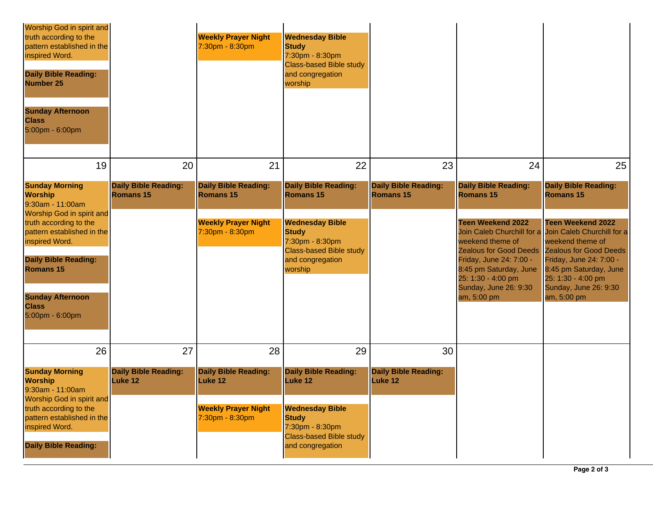| Worship God in spirit and<br>truth according to the<br>pattern established in the<br>inspired Word.<br><b>Daily Bible Reading:</b><br><b>Number 25</b><br><b>Sunday Afternoon</b><br><b>Class</b><br>5:00pm - 6:00pm                                                                |                                                     | <b>Weekly Prayer Night</b><br>7:30pm - 8:30pm                                                    | <b>Wednesday Bible</b><br><b>Study</b><br>7:30pm - 8:30pm<br><b>Class-based Bible study</b><br>and congregation<br>worship                                             |                                                 |                                                                                                                                                                                                                                                                     |                                                                                                                                                                                                                                                                             |
|-------------------------------------------------------------------------------------------------------------------------------------------------------------------------------------------------------------------------------------------------------------------------------------|-----------------------------------------------------|--------------------------------------------------------------------------------------------------|------------------------------------------------------------------------------------------------------------------------------------------------------------------------|-------------------------------------------------|---------------------------------------------------------------------------------------------------------------------------------------------------------------------------------------------------------------------------------------------------------------------|-----------------------------------------------------------------------------------------------------------------------------------------------------------------------------------------------------------------------------------------------------------------------------|
| 19                                                                                                                                                                                                                                                                                  | 20                                                  | 21                                                                                               | 22                                                                                                                                                                     | 23                                              | 24                                                                                                                                                                                                                                                                  | 25                                                                                                                                                                                                                                                                          |
| <b>Sunday Morning</b><br><b>Worship</b><br>9:30am - 11:00am<br>Worship God in spirit and<br>truth according to the<br>pattern established in the<br>inspired Word.<br><b>Daily Bible Reading:</b><br><b>Romans 15</b><br><b>Sunday Afternoon</b><br><b>Class</b><br>5:00pm - 6:00pm | <b>Daily Bible Reading:</b><br>Romans <sub>15</sub> | <b>Daily Bible Reading:</b><br><b>Romans 15</b><br><b>Weekly Prayer Night</b><br>7:30pm - 8:30pm | <b>Daily Bible Reading:</b><br>Romans 15<br><b>Wednesday Bible</b><br><b>Study</b><br>7:30pm - 8:30pm<br><b>Class-based Bible study</b><br>and congregation<br>worship | <b>Daily Bible Reading:</b><br><b>Romans 15</b> | <b>Daily Bible Reading:</b><br><b>Romans 15</b><br><b>Teen Weekend 2022</b><br>weekend theme of<br>Zealous for Good Deeds Zealous for Good Deeds<br>Friday, June 24: 7:00 -<br>8:45 pm Saturday, June<br>25: 1:30 - 4:00 pm<br>Sunday, June 26: 9:30<br>am, 5:00 pm | <b>Daily Bible Reading:</b><br><b>Romans 15</b><br><b>Teen Weekend 2022</b><br>Join Caleb Churchill for a Join Caleb Churchill for a<br>weekend theme of<br>Friday, June 24: 7:00 -<br>8:45 pm Saturday, June<br>25: 1:30 - 4:00 pm<br>Sunday, June 26: 9:30<br>am, 5:00 pm |
| 26<br><b>Sunday Morning</b><br><b>Worship</b>                                                                                                                                                                                                                                       | 27<br><b>Daily Bible Reading:</b><br><b>Luke 12</b> | 28<br><b>Daily Bible Reading:</b><br>Luke 12                                                     | 29<br><b>Daily Bible Reading:</b><br>Luke 12                                                                                                                           | 30<br><b>Daily Bible Reading:</b><br>Luke 12    |                                                                                                                                                                                                                                                                     |                                                                                                                                                                                                                                                                             |
| 9:30am - 11:00am<br>Worship God in spirit and<br>truth according to the<br>pattern established in the<br>inspired Word.<br><b>Daily Bible Reading:</b>                                                                                                                              |                                                     | <b>Weekly Prayer Night</b><br>7:30pm - 8:30pm                                                    | <b>Wednesday Bible</b><br><b>Study</b><br>7:30pm - 8:30pm<br><b>Class-based Bible study</b><br>and congregation                                                        |                                                 |                                                                                                                                                                                                                                                                     |                                                                                                                                                                                                                                                                             |